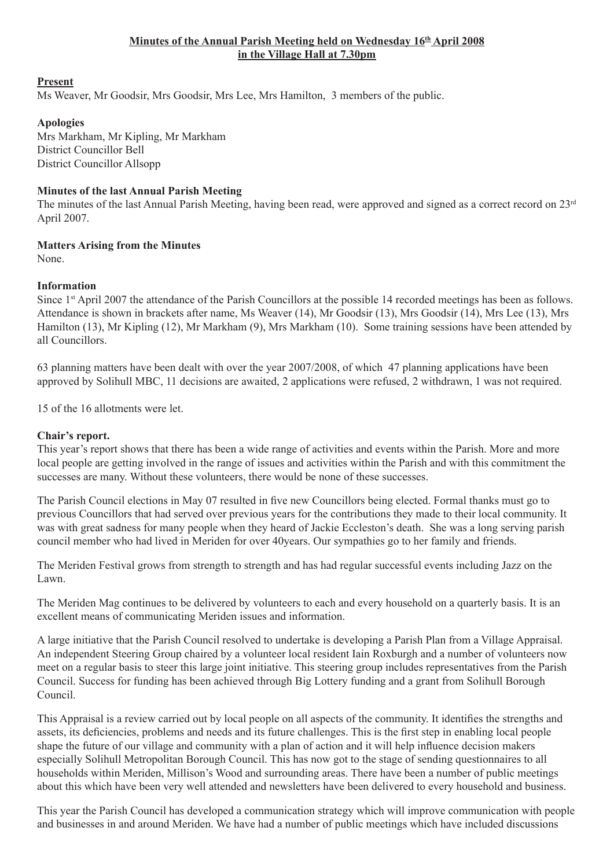## Minutes of the Annual Parish Meeting held on Wednesday 16<sup>th</sup> April 2008 **in the Village Hall at 7.30pm**

#### **Present**

Ms Weaver, Mr Goodsir, Mrs Goodsir, Mrs Lee, Mrs Hamilton, 3 members of the public.

# **Apologies**

Mrs Markham, Mr Kipling, Mr Markham District Councillor Bell District Councillor Allsopp

## **Minutes of the last Annual Parish Meeting**

The minutes of the last Annual Parish Meeting, having been read, were approved and signed as a correct record on  $23<sup>rd</sup>$ April 2007.

#### **Matters Arising from the Minutes**

None.

## **Information**

Since 1<sup>st</sup> April 2007 the attendance of the Parish Councillors at the possible 14 recorded meetings has been as follows. Attendance is shown in brackets after name, Ms Weaver (14), Mr Goodsir (13), Mrs Goodsir (14), Mrs Lee (13), Mrs Hamilton (13), Mr Kipling (12), Mr Markham (9), Mrs Markham (10). Some training sessions have been attended by all Councillors.

63 planning matters have been dealt with over the year 2007/2008, of which 47 planning applications have been approved by Solihull MBC, 11 decisions are awaited, 2 applications were refused, 2 withdrawn, 1 was not required.

15 of the 16 allotments were let.

#### **Chair's report.**

This year's report shows that there has been a wide range of activities and events within the Parish. More and more local people are getting involved in the range of issues and activities within the Parish and with this commitment the successes are many. Without these volunteers, there would be none of these successes.

The Parish Council elections in May 07 resulted in five new Councillors being elected. Formal thanks must go to previous Councillors that had served over previous years for the contributions they made to their local community. It was with great sadness for many people when they heard of Jackie Eccleston's death. She was a long serving parish council member who had lived in Meriden for over 40years. Our sympathies go to her family and friends.

The Meriden Festival grows from strength to strength and has had regular successful events including Jazz on the Lawn.

The Meriden Mag continues to be delivered by volunteers to each and every household on a quarterly basis. It is an excellent means of communicating Meriden issues and information.

A large initiative that the Parish Council resolved to undertake is developing a Parish Plan from a Village Appraisal. An independent Steering Group chaired by a volunteer local resident Iain Roxburgh and a number of volunteers now meet on a regular basis to steer this large joint initiative. This steering group includes representatives from the Parish Council. Success for funding has been achieved through Big Lottery funding and a grant from Solihull Borough Council.

This Appraisal is a review carried out by local people on all aspects of the community. It identifies the strengths and assets, its deficiencies, problems and needs and its future challenges. This is the first step in enabling local people shape the future of our village and community with a plan of action and it will help influence decision makers especially Solihull Metropolitan Borough Council. This has now got to the stage of sending questionnaires to all households within Meriden, Millison's Wood and surrounding areas. There have been a number of public meetings about this which have been very well attended and newsletters have been delivered to every household and business.

This year the Parish Council has developed a communication strategy which will improve communication with people and businesses in and around Meriden. We have had a number of public meetings which have included discussions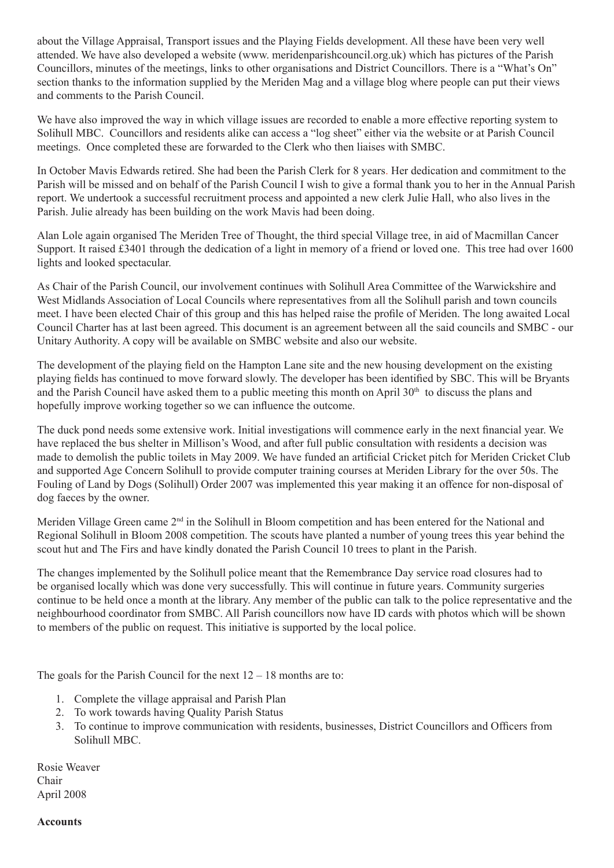about the Village Appraisal, Transport issues and the Playing Fields development. All these have been very well attended. We have also developed a website (www. meridenparishcouncil.org.uk) which has pictures of the Parish Councillors, minutes of the meetings, links to other organisations and District Councillors. There is a "What's On" section thanks to the information supplied by the Meriden Mag and a village blog where people can put their views and comments to the Parish Council.

We have also improved the way in which village issues are recorded to enable a more effective reporting system to Solihull MBC. Councillors and residents alike can access a "log sheet" either via the website or at Parish Council meetings. Once completed these are forwarded to the Clerk who then liaises with SMBC.

In October Mavis Edwards retired. She had been the Parish Clerk for 8 years. Her dedication and commitment to the Parish will be missed and on behalf of the Parish Council I wish to give a formal thank you to her in the Annual Parish report. We undertook a successful recruitment process and appointed a new clerk Julie Hall, who also lives in the Parish. Julie already has been building on the work Mavis had been doing.

Alan Lole again organised The Meriden Tree of Thought, the third special Village tree, in aid of Macmillan Cancer Support. It raised £3401 through the dedication of a light in memory of a friend or loved one. This tree had over 1600 lights and looked spectacular.

As Chair of the Parish Council, our involvement continues with Solihull Area Committee of the Warwickshire and West Midlands Association of Local Councils where representatives from all the Solihull parish and town councils meet. I have been elected Chair of this group and this has helped raise the profile of Meriden. The long awaited Local Council Charter has at last been agreed. This document is an agreement between all the said councils and SMBC - our Unitary Authority. A copy will be available on SMBC website and also our website.

The development of the playing field on the Hampton Lane site and the new housing development on the existing playing fields has continued to move forward slowly. The developer has been identified by SBC. This will be Bryants and the Parish Council have asked them to a public meeting this month on April  $30<sup>th</sup>$  to discuss the plans and hopefully improve working together so we can influence the outcome.

The duck pond needs some extensive work. Initial investigations will commence early in the next financial year. We have replaced the bus shelter in Millison's Wood, and after full public consultation with residents a decision was made to demolish the public toilets in May 2009. We have funded an artificial Cricket pitch for Meriden Cricket Club and supported Age Concern Solihull to provide computer training courses at Meriden Library for the over 50s. The Fouling of Land by Dogs (Solihull) Order 2007 was implemented this year making it an offence for non-disposal of dog faeces by the owner.

Meriden Village Green came 2<sup>nd</sup> in the Solihull in Bloom competition and has been entered for the National and Regional Solihull in Bloom 2008 competition. The scouts have planted a number of young trees this year behind the scout hut and The Firs and have kindly donated the Parish Council 10 trees to plant in the Parish.

The changes implemented by the Solihull police meant that the Remembrance Day service road closures had to be organised locally which was done very successfully. This will continue in future years. Community surgeries continue to be held once a month at the library. Any member of the public can talk to the police representative and the neighbourhood coordinator from SMBC. All Parish councillors now have ID cards with photos which will be shown to members of the public on request. This initiative is supported by the local police.

The goals for the Parish Council for the next  $12 - 18$  months are to:

- 1. Complete the village appraisal and Parish Plan
- 2. To work towards having Quality Parish Status
- 3. To continue to improve communication with residents, businesses, District Councillors and Officers from Solihull MBC.

Rosie Weaver Chair April 2008

**Accounts**